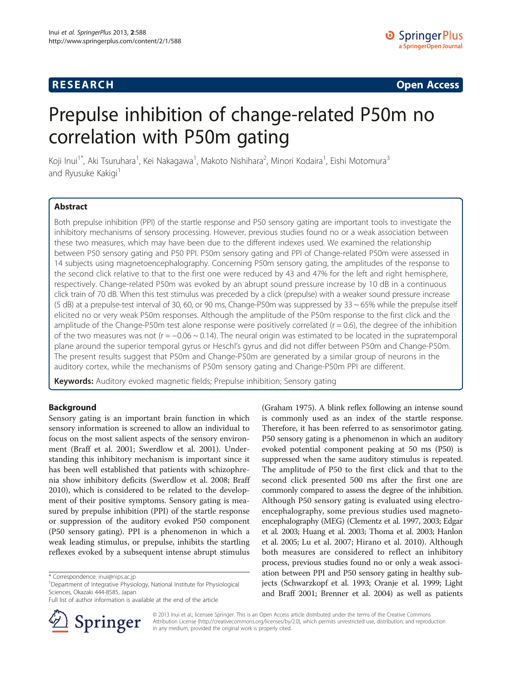# **RESEARCH RESEARCH CONSUMING ACCESS**

# Prepulse inhibition of change-related P50m no correlation with P50m gating

Koji Inui<sup>1\*</sup>, Aki Tsuruhara<sup>1</sup>, Kei Nakagawa<sup>1</sup>, Makoto Nishihara<sup>2</sup>, Minori Kodaira<sup>1</sup>, Eishi Motomura<sup>3</sup> and Ryusuke Kakigi<sup>1</sup>

# Abstract

Both prepulse inhibition (PPI) of the startle response and P50 sensory gating are important tools to investigate the inhibitory mechanisms of sensory processing. However, previous studies found no or a weak association between these two measures, which may have been due to the different indexes used. We examined the relationship between P50 sensory gating and P50 PPI. P50m sensory gating and PPI of Change-related P50m were assessed in 14 subjects using magnetoencephalography. Concerning P50m sensory gating, the amplitudes of the response to the second click relative to that to the first one were reduced by 43 and 47% for the left and right hemisphere, respectively. Change-related P50m was evoked by an abrupt sound pressure increase by 10 dB in a continuous click train of 70 dB. When this test stimulus was preceded by a click (prepulse) with a weaker sound pressure increase (5 dB) at a prepulse-test interval of 30, 60, or 90 ms, Change-P50m was suppressed by  $33 \sim 65\%$  while the prepulse itself elicited no or very weak P50m responses. Although the amplitude of the P50m response to the first click and the amplitude of the Change-P50m test alone response were positively correlated  $(r = 0.6)$ , the degree of the inhibition of the two measures was not ( $r = -0.06 \sim 0.14$ ). The neural origin was estimated to be located in the supratemporal plane around the superior temporal gyrus or Heschl's gyrus and did not differ between P50m and Change-P50m. The present results suggest that P50m and Change-P50m are generated by a similar group of neurons in the auditory cortex, while the mechanisms of P50m sensory gating and Change-P50m PPI are different.

Keywords: Auditory evoked magnetic fields; Prepulse inhibition; Sensory gating

# Background

Sensory gating is an important brain function in which sensory information is screened to allow an individual to focus on the most salient aspects of the sensory environment (Braff et al. [2001](#page-8-0); Swerdlow et al. [2001](#page-8-0)). Understanding this inhibitory mechanism is important since it has been well established that patients with schizophrenia show inhibitory deficits (Swerdlow et al. [2008;](#page-8-0) Braff [2010](#page-8-0)), which is considered to be related to the development of their positive symptoms. Sensory gating is measured by prepulse inhibition (PPI) of the startle response or suppression of the auditory evoked P50 component (P50 sensory gating). PPI is a phenomenon in which a weak leading stimulus, or prepulse, inhibits the startling reflexes evoked by a subsequent intense abrupt stimulus

Full list of author information is available at the end of the article



(Graham [1975\)](#page-8-0). A blink reflex following an intense sound is commonly used as an index of the startle response. Therefore, it has been referred to as sensorimotor gating. P50 sensory gating is a phenomenon in which an auditory evoked potential component peaking at 50 ms (P50) is suppressed when the same auditory stimulus is repeated. The amplitude of P50 to the first click and that to the second click presented 500 ms after the first one are commonly compared to assess the degree of the inhibition. Although P50 sensory gating is evaluated using electroencephalography, some previous studies used magnetoencephalography (MEG) (Clementz et al. [1997](#page-8-0), [2003](#page-8-0); Edgar et al. [2003;](#page-8-0) Huang et al. [2003;](#page-8-0) Thoma et al. [2003](#page-8-0); Hanlon et al. [2005;](#page-8-0) Lu et al. [2007](#page-8-0); Hirano et al. [2010\)](#page-8-0). Although both measures are considered to reflect an inhibitory process, previous studies found no or only a weak association between PPI and P50 sensory gating in healthy subjects (Schwarzkopf et al. [1993](#page-8-0); Oranje et al. [1999](#page-8-0); Light and Braff [2001;](#page-8-0) Brenner et al. [2004](#page-8-0)) as well as patients

© 2013 Inui et al.; licensee Springer. This is an Open Access article distributed under the terms of the Creative Commons Attribution License [\(http://creativecommons.org/licenses/by/2.0\)](http://creativecommons.org/licenses/by/2.0), which permits unrestricted use, distribution, and reproduction in any medium, provided the original work is properly cited.

<sup>\*</sup> Correspondence: [inui@nips.ac.jp](mailto:inui@nips.ac.jp) <sup>1</sup>

<sup>&</sup>lt;sup>1</sup>Department of Integrative Physiology, National Institute for Physiological Sciences, Okazaki 444-8585, Japan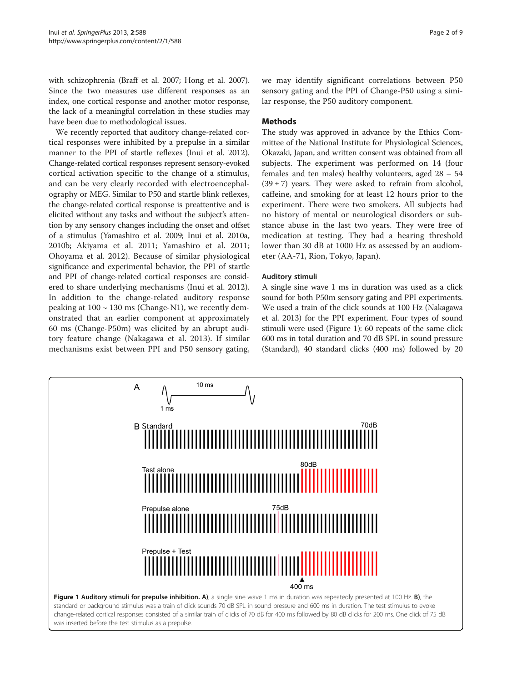with schizophrenia (Braff et al. [2007](#page-8-0); Hong et al. [2007](#page-8-0)). Since the two measures use different responses as an index, one cortical response and another motor response, the lack of a meaningful correlation in these studies may have been due to methodological issues.

We recently reported that auditory change-related cortical responses were inhibited by a prepulse in a similar manner to the PPI of startle reflexes (Inui et al. [2012](#page-8-0)). Change-related cortical responses represent sensory-evoked cortical activation specific to the change of a stimulus, and can be very clearly recorded with electroencephalography or MEG. Similar to P50 and startle blink reflexes, the change-related cortical response is preattentive and is elicited without any tasks and without the subject's attention by any sensory changes including the onset and offset of a stimulus (Yamashiro et al. [2009;](#page-8-0) Inui et al. [2010a](#page-8-0), [2010b](#page-8-0); Akiyama et al. [2011;](#page-8-0) Yamashiro et al. [2011](#page-8-0); Ohoyama et al. [2012\)](#page-8-0). Because of similar physiological significance and experimental behavior, the PPI of startle and PPI of change-related cortical responses are considered to share underlying mechanisms (Inui et al. [2012](#page-8-0)). In addition to the change-related auditory response peaking at  $100 \sim 130$  ms (Change-N1), we recently demonstrated that an earlier component at approximately 60 ms (Change-P50m) was elicited by an abrupt auditory feature change (Nakagawa et al. [2013](#page-8-0)). If similar mechanisms exist between PPI and P50 sensory gating, we may identify significant correlations between P50 sensory gating and the PPI of Change-P50 using a similar response, the P50 auditory component.

# Methods

The study was approved in advance by the Ethics Committee of the National Institute for Physiological Sciences, Okazaki, Japan, and written consent was obtained from all subjects. The experiment was performed on 14 (four females and ten males) healthy volunteers, aged 28 – 54  $(39 \pm 7)$  years. They were asked to refrain from alcohol, caffeine, and smoking for at least 12 hours prior to the experiment. There were two smokers. All subjects had no history of mental or neurological disorders or substance abuse in the last two years. They were free of medication at testing. They had a hearing threshold lower than 30 dB at 1000 Hz as assessed by an audiometer (AA-71, Rion, Tokyo, Japan).

# Auditory stimuli

A single sine wave 1 ms in duration was used as a click sound for both P50m sensory gating and PPI experiments. We used a train of the click sounds at 100 Hz (Nakagawa et al. [2013\)](#page-8-0) for the PPI experiment. Four types of sound stimuli were used (Figure 1): 60 repeats of the same click 600 ms in total duration and 70 dB SPL in sound pressure (Standard), 40 standard clicks (400 ms) followed by 20

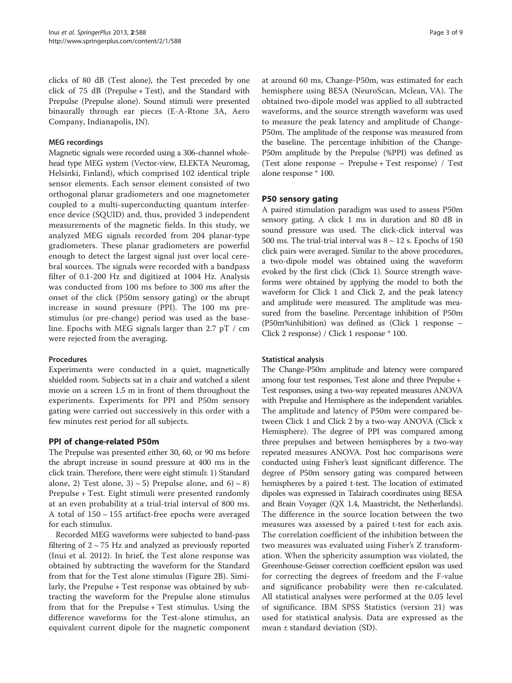clicks of 80 dB (Test alone), the Test preceded by one click of 75 dB (Prepulse + Test), and the Standard with Prepulse (Prepulse alone). Sound stimuli were presented binaurally through ear pieces (E-A-Rtone 3A, Aero Company, Indianapolis, IN).

#### MEG recordings

Magnetic signals were recorded using a 306-channel wholehead type MEG system (Vector-view, ELEKTA Neuromag, Helsinki, Finland), which comprised 102 identical triple sensor elements. Each sensor element consisted of two orthogonal planar gradiometers and one magnetometer coupled to a multi-superconducting quantum interference device (SQUID) and, thus, provided 3 independent measurements of the magnetic fields. In this study, we analyzed MEG signals recorded from 204 planar-type gradiometers. These planar gradiometers are powerful enough to detect the largest signal just over local cerebral sources. The signals were recorded with a bandpass filter of 0.1-200 Hz and digitized at 1004 Hz. Analysis was conducted from 100 ms before to 300 ms after the onset of the click (P50m sensory gating) or the abrupt increase in sound pressure (PPI). The 100 ms prestimulus (or pre-change) period was used as the baseline. Epochs with MEG signals larger than 2.7 pT / cm were rejected from the averaging.

#### Procedures

Experiments were conducted in a quiet, magnetically shielded room. Subjects sat in a chair and watched a silent movie on a screen 1.5 m in front of them throughout the experiments. Experiments for PPI and P50m sensory gating were carried out successively in this order with a few minutes rest period for all subjects.

# PPI of change-related P50m

The Prepulse was presented either 30, 60, or 90 ms before the abrupt increase in sound pressure at 400 ms in the click train. Therefore, there were eight stimuli: 1) Standard alone, 2) Test alone,  $3 \times 5$ ) Prepulse alone, and  $6 \times 8$ ) Prepulse + Test. Eight stimuli were presented randomly at an even probability at a trial-trial interval of 800 ms. A total of 150 ~ 155 artifact-free epochs were averaged for each stimulus.

Recorded MEG waveforms were subjected to band-pass filtering of  $2 \sim 75$  Hz and analyzed as previously reported (Inui et al. [2012\)](#page-8-0). In brief, the Test alone response was obtained by subtracting the waveform for the Standard from that for the Test alone stimulus (Figure [2B](#page-3-0)). Similarly, the Prepulse + Test response was obtained by subtracting the waveform for the Prepulse alone stimulus from that for the Prepulse + Test stimulus. Using the difference waveforms for the Test-alone stimulus, an equivalent current dipole for the magnetic component

at around 60 ms, Change-P50m, was estimated for each hemisphere using BESA (NeuroScan, Mclean, VA). The obtained two-dipole model was applied to all subtracted waveforms, and the source strength waveform was used to measure the peak latency and amplitude of Change-P50m. The amplitude of the response was measured from the baseline. The percentage inhibition of the Change-P50m amplitude by the Prepulse (%PPI) was defined as (Test alone response – Prepulse + Test response) / Test alone response \* 100.

# P50 sensory gating

A paired stimulation paradigm was used to assess P50m sensory gating. A click 1 ms in duration and 80 dB in sound pressure was used. The click-click interval was 500 ms. The trial-trial interval was  $8 \sim 12$  s. Epochs of 150 click pairs were averaged. Similar to the above procedures, a two-dipole model was obtained using the waveform evoked by the first click (Click 1). Source strength waveforms were obtained by applying the model to both the waveform for Click 1 and Click 2, and the peak latency and amplitude were measured. The amplitude was measured from the baseline. Percentage inhibition of P50m (P50m%inhibition) was defined as (Click 1 response – Click 2 response) / Click 1 response \* 100.

# Statistical analysis

The Change-P50m amplitude and latency were compared among four test responses, Test alone and three Prepulse + Test responses, using a two-way repeated measures ANOVA with Prepulse and Hemisphere as the independent variables. The amplitude and latency of P50m were compared between Click 1 and Click 2 by a two-way ANOVA (Click x Hemisphere). The degree of PPI was compared among three prepulses and between hemispheres by a two-way repeated measures ANOVA. Post hoc comparisons were conducted using Fisher's least significant difference. The degree of P50m sensory gating was compared between hemispheres by a paired t-test. The location of estimated dipoles was expressed in Talairach coordinates using BESA and Brain Voyager (QX 1.4, Maastricht, the Netherlands). The difference in the source location between the two measures was assessed by a paired t-test for each axis. The correlation coefficient of the inhibition between the two measures was evaluated using Fisher's Z transformation. When the sphericity assumption was violated, the Greenhouse-Geisser correction coefficient epsilon was used for correcting the degrees of freedom and the F-value and significance probability were then re-calculated. All statistical analyses were performed at the 0.05 level of significance. IBM SPSS Statistics (version 21) was used for statistical analysis. Data are expressed as the mean ± standard deviation (SD).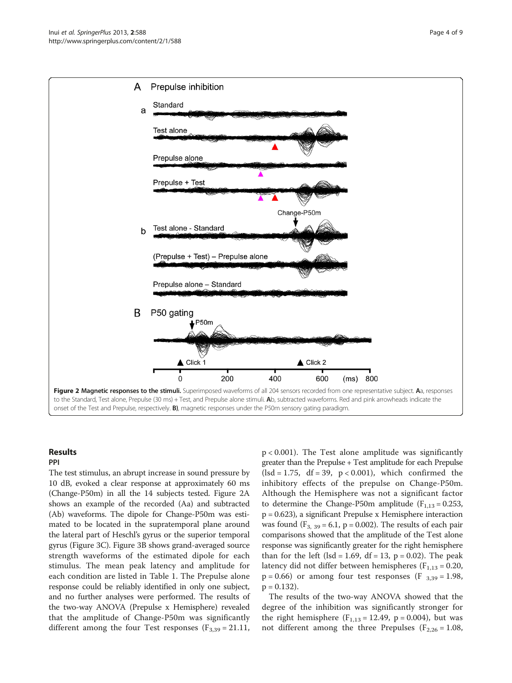<span id="page-3-0"></span>

# Results

PPI The test stimulus, an abrupt increase in sound pressure by 10 dB, evoked a clear response at approximately 60 ms (Change-P50m) in all the 14 subjects tested. Figure 2A shows an example of the recorded (Aa) and subtracted (Ab) waveforms. The dipole for Change-P50m was estimated to be located in the supratemporal plane around the lateral part of Heschl's gyrus or the superior temporal gyrus (Figure [3C](#page-4-0)). Figure [3](#page-4-0)B shows grand-averaged source strength waveforms of the estimated dipole for each stimulus. The mean peak latency and amplitude for each condition are listed in Table [1.](#page-4-0) The Prepulse alone response could be reliably identified in only one subject, and no further analyses were performed. The results of the two-way ANOVA (Prepulse x Hemisphere) revealed that the amplitude of Change-P50m was significantly different among the four Test responses ( $F_{3,39} = 21.11$ ,

p < 0.001). The Test alone amplitude was significantly greater than the Prepulse + Test amplitude for each Prepulse  $(lsd = 1.75, df = 39, p < 0.001)$ , which confirmed the inhibitory effects of the prepulse on Change-P50m. Although the Hemisphere was not a significant factor to determine the Change-P50m amplitude ( $F_{1,13} = 0.253$ , p = 0.623), a significant Prepulse x Hemisphere interaction was found  $(F_{3, 39} = 6.1, p = 0.002)$ . The results of each pair comparisons showed that the amplitude of the Test alone response was significantly greater for the right hemisphere than for the left (lsd = 1.69, df = 13,  $p = 0.02$ ). The peak latency did not differ between hemispheres ( $F_{1,13} = 0.20$ ,  $p = 0.66$ ) or among four test responses (F  $_{3,39} = 1.98$ ,  $p = 0.132$ .

The results of the two-way ANOVA showed that the degree of the inhibition was significantly stronger for the right hemisphere  $(F_{1,13} = 12.49, p = 0.004)$ , but was not different among the three Prepulses ( $F_{2,26} = 1.08$ ,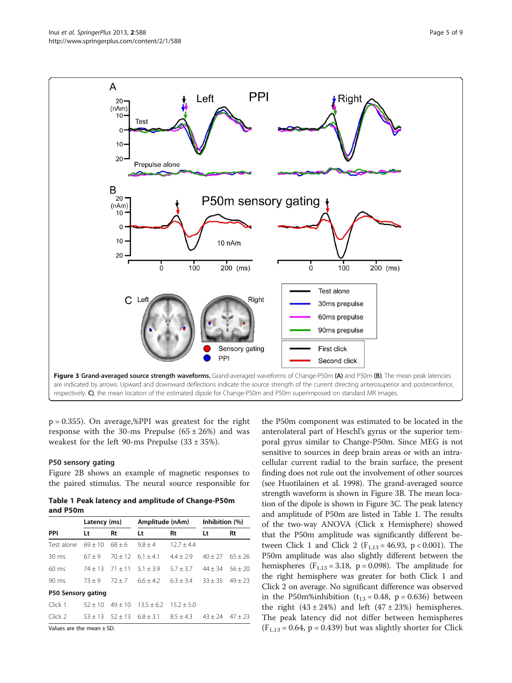<span id="page-4-0"></span>

 $p = 0.355$ ). On average,%PPI was greatest for the right response with the 30-ms Prepulse  $(65 \pm 26%)$  and was weakest for the left 90-ms Prepulse  $(33 \pm 35\%)$ .

#### P50 sensory gating

Figure [2B](#page-3-0) shows an example of magnetic responses to the paired stimulus. The neural source responsible for

Table 1 Peak latency and amplitude of Change-P50m and P50m

|                    | Latency (ms) |           | Amplitude (nAm) |              | Inhibition (%) |           |
|--------------------|--------------|-----------|-----------------|--------------|----------------|-----------|
| PPI                | Lt           | Rt        | Lt              | Rt           | Lt             | Rt        |
| Test alone         | $69 + 10$    | $68 + 6$  | $9.8 \pm 4$     | $12.7 + 4.4$ |                |           |
| $30 \text{ ms}$    | $67 + 9$     | $70 + 12$ | $6.1 + 4.1$     | $4.4 + 2.9$  | $40 + 27$      | $65 + 26$ |
| $60 \text{ ms}$    | $74 + 13$    | $71 + 11$ | $5.1 + 3.9$     | $5.7 + 3.7$  | $44 + 34$      | $56 + 20$ |
| $90 \text{ ms}$    | $73 + 9$     | $72 + 7$  | $66+42$         | $6.3 + 3.4$  | $33 + 35$      | $49 + 23$ |
| P50 Sensory gating |              |           |                 |              |                |           |
| Click 1            | $52 + 10$    | $49 + 10$ | $13.5 + 6.2$    | $15.2 + 5.0$ |                |           |
| Click 2            | $53 + 13$    | $52 + 13$ | $6.8 + 3.1$     | $8.5 + 4.3$  | $43 + 24$      | $47 + 23$ |

Values are the mean ± SD.

the P50m component was estimated to be located in the anterolateral part of Heschl's gyrus or the superior temporal gyrus similar to Change-P50m. Since MEG is not sensitive to sources in deep brain areas or with an intracellular current radial to the brain surface, the present finding does not rule out the involvement of other sources (see Huotilainen et al. [1998](#page-8-0)). The grand-averaged source strength waveform is shown in Figure 3B. The mean location of the dipole is shown in Figure 3C. The peak latency and amplitude of P50m are listed in Table 1. The results of the two-way ANOVA (Click x Hemisphere) showed that the P50m amplitude was significantly different between Click 1 and Click 2 ( $F_{1,13} = 46.93$ , p < 0.001). The P50m amplitude was also slightly different between the hemispheres  $(F_{1,13} = 3.18, p = 0.098)$ . The amplitude for the right hemisphere was greater for both Click 1 and Click 2 on average. No significant difference was observed in the P50m%inhibition ( $t_{13} = 0.48$ , p = 0.636) between the right  $(43 \pm 24\%)$  and left  $(47 \pm 23\%)$  hemispheres. The peak latency did not differ between hemispheres  $(F_{1,13} = 0.64, p = 0.439)$  but was slightly shorter for Click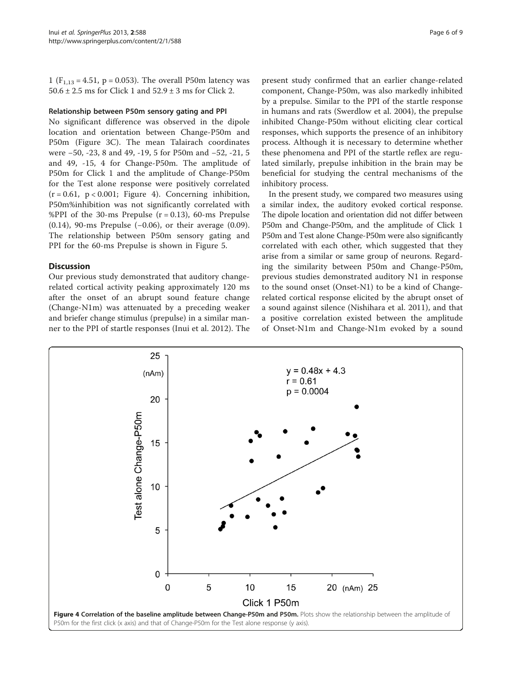1 ( $F_{1,13} = 4.51$ , p = 0.053). The overall P50m latency was  $50.6 \pm 2.5$  ms for Click 1 and  $52.9 \pm 3$  ms for Click 2.

#### Relationship between P50m sensory gating and PPI

No significant difference was observed in the dipole location and orientation between Change-P50m and P50m (Figure [3](#page-4-0)C). The mean Talairach coordinates were −50, -23, 8 and 49, -19, 5 for P50m and −52, -21, 5 and 49, -15, 4 for Change-P50m. The amplitude of P50m for Click 1 and the amplitude of Change-P50m for the Test alone response were positively correlated  $(r = 0.61, p < 0.001;$  Figure 4). Concerning inhibition, P50m%inhibition was not significantly correlated with %PPI of the 30-ms Prepulse  $(r = 0.13)$ , 60-ms Prepulse (0.14), 90-ms Prepulse (−0.06), or their average (0.09). The relationship between P50m sensory gating and PPI for the 60-ms Prepulse is shown in Figure [5](#page-6-0).

#### **Discussion**

Our previous study demonstrated that auditory changerelated cortical activity peaking approximately 120 ms after the onset of an abrupt sound feature change (Change-N1m) was attenuated by a preceding weaker and briefer change stimulus (prepulse) in a similar manner to the PPI of startle responses (Inui et al. [2012\)](#page-8-0). The

present study confirmed that an earlier change-related component, Change-P50m, was also markedly inhibited by a prepulse. Similar to the PPI of the startle response in humans and rats (Swerdlow et al. [2004\)](#page-8-0), the prepulse inhibited Change-P50m without eliciting clear cortical responses, which supports the presence of an inhibitory process. Although it is necessary to determine whether these phenomena and PPI of the startle reflex are regulated similarly, prepulse inhibition in the brain may be beneficial for studying the central mechanisms of the inhibitory process.

In the present study, we compared two measures using a similar index, the auditory evoked cortical response. The dipole location and orientation did not differ between P50m and Change-P50m, and the amplitude of Click 1 P50m and Test alone Change-P50m were also significantly correlated with each other, which suggested that they arise from a similar or same group of neurons. Regarding the similarity between P50m and Change-P50m, previous studies demonstrated auditory N1 in response to the sound onset (Onset-N1) to be a kind of Changerelated cortical response elicited by the abrupt onset of a sound against silence (Nishihara et al. [2011](#page-8-0)), and that a positive correlation existed between the amplitude of Onset-N1m and Change-N1m evoked by a sound

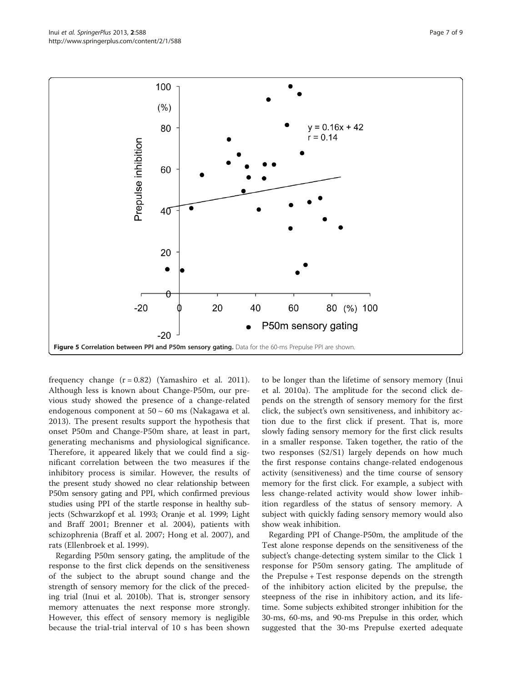<span id="page-6-0"></span>

frequency change  $(r = 0.82)$  (Yamashiro et al. [2011](#page-8-0)). Although less is known about Change-P50m, our previous study showed the presence of a change-related endogenous component at 50 ~ 60 ms (Nakagawa et al. [2013\)](#page-8-0). The present results support the hypothesis that onset P50m and Change-P50m share, at least in part, generating mechanisms and physiological significance. Therefore, it appeared likely that we could find a significant correlation between the two measures if the inhibitory process is similar. However, the results of the present study showed no clear relationship between P50m sensory gating and PPI, which confirmed previous studies using PPI of the startle response in healthy subjects (Schwarzkopf et al. [1993](#page-8-0); Oranje et al. [1999](#page-8-0); Light and Braff [2001](#page-8-0); Brenner et al. [2004\)](#page-8-0), patients with schizophrenia (Braff et al. [2007](#page-8-0); Hong et al. [2007](#page-8-0)), and rats (Ellenbroek et al. [1999\)](#page-8-0).

Regarding P50m sensory gating, the amplitude of the response to the first click depends on the sensitiveness of the subject to the abrupt sound change and the strength of sensory memory for the click of the preceding trial (Inui et al. [2010b](#page-8-0)). That is, stronger sensory memory attenuates the next response more strongly. However, this effect of sensory memory is negligible because the trial-trial interval of 10 s has been shown

to be longer than the lifetime of sensory memory (Inui et al. [2010a\)](#page-8-0). The amplitude for the second click depends on the strength of sensory memory for the first click, the subject's own sensitiveness, and inhibitory action due to the first click if present. That is, more slowly fading sensory memory for the first click results in a smaller response. Taken together, the ratio of the two responses (S2/S1) largely depends on how much the first response contains change-related endogenous activity (sensitiveness) and the time course of sensory memory for the first click. For example, a subject with less change-related activity would show lower inhibition regardless of the status of sensory memory. A subject with quickly fading sensory memory would also show weak inhibition.

Regarding PPI of Change-P50m, the amplitude of the Test alone response depends on the sensitiveness of the subject's change-detecting system similar to the Click 1 response for P50m sensory gating. The amplitude of the Prepulse + Test response depends on the strength of the inhibitory action elicited by the prepulse, the steepness of the rise in inhibitory action, and its lifetime. Some subjects exhibited stronger inhibition for the 30-ms, 60-ms, and 90-ms Prepulse in this order, which suggested that the 30-ms Prepulse exerted adequate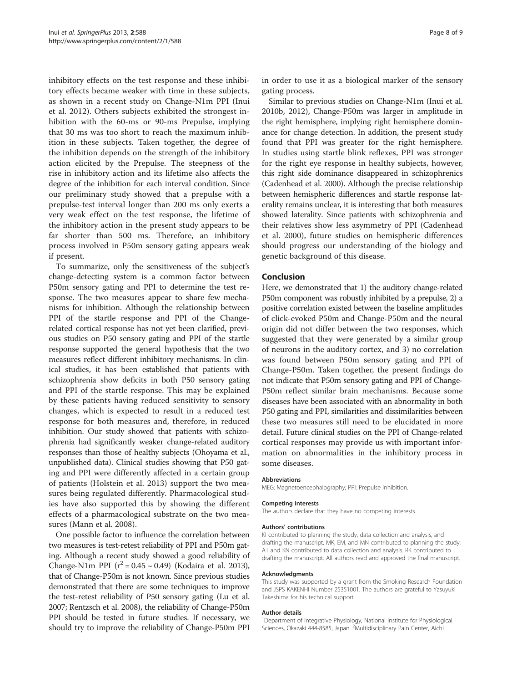inhibitory effects on the test response and these inhibitory effects became weaker with time in these subjects, as shown in a recent study on Change-N1m PPI (Inui et al. [2012\)](#page-8-0). Others subjects exhibited the strongest inhibition with the 60-ms or 90-ms Prepulse, implying that 30 ms was too short to reach the maximum inhibition in these subjects. Taken together, the degree of the inhibition depends on the strength of the inhibitory action elicited by the Prepulse. The steepness of the rise in inhibitory action and its lifetime also affects the degree of the inhibition for each interval condition. Since our preliminary study showed that a prepulse with a prepulse-test interval longer than 200 ms only exerts a very weak effect on the test response, the lifetime of the inhibitory action in the present study appears to be far shorter than 500 ms. Therefore, an inhibitory process involved in P50m sensory gating appears weak if present.

To summarize, only the sensitiveness of the subject's change-detecting system is a common factor between P50m sensory gating and PPI to determine the test response. The two measures appear to share few mechanisms for inhibition. Although the relationship between PPI of the startle response and PPI of the Changerelated cortical response has not yet been clarified, previous studies on P50 sensory gating and PPI of the startle response supported the general hypothesis that the two measures reflect different inhibitory mechanisms. In clinical studies, it has been established that patients with schizophrenia show deficits in both P50 sensory gating and PPI of the startle response. This may be explained by these patients having reduced sensitivity to sensory changes, which is expected to result in a reduced test response for both measures and, therefore, in reduced inhibition. Our study showed that patients with schizophrenia had significantly weaker change-related auditory responses than those of healthy subjects (Ohoyama et al., unpublished data). Clinical studies showing that P50 gating and PPI were differently affected in a certain group of patients (Holstein et al. [2013](#page-8-0)) support the two measures being regulated differently. Pharmacological studies have also supported this by showing the different effects of a pharmacological substrate on the two measures (Mann et al. [2008\)](#page-8-0).

One possible factor to influence the correlation between two measures is test-retest reliability of PPI and P50m gating. Although a recent study showed a good reliability of Change-N1m PPI  $(r^2 = 0.45 \sim 0.49)$  (Kodaira et al. [2013](#page-8-0)), that of Change-P50m is not known. Since previous studies demonstrated that there are some techniques to improve the test-retest reliability of P50 sensory gating (Lu et al. [2007;](#page-8-0) Rentzsch et al. [2008](#page-8-0)), the reliability of Change-P50m PPI should be tested in future studies. If necessary, we should try to improve the reliability of Change-P50m PPI

in order to use it as a biological marker of the sensory gating process.

Similar to previous studies on Change-N1m (Inui et al. [2010b](#page-8-0), [2012](#page-8-0)), Change-P50m was larger in amplitude in the right hemisphere, implying right hemisphere dominance for change detection. In addition, the present study found that PPI was greater for the right hemisphere. In studies using startle blink reflexes, PPI was stronger for the right eye response in healthy subjects, however, this right side dominance disappeared in schizophrenics (Cadenhead et al. [2000\)](#page-8-0). Although the precise relationship between hemispheric differences and startle response laterality remains unclear, it is interesting that both measures showed laterality. Since patients with schizophrenia and their relatives show less asymmetry of PPI (Cadenhead et al. [2000\)](#page-8-0), future studies on hemispheric differences should progress our understanding of the biology and genetic background of this disease.

#### Conclusion

Here, we demonstrated that 1) the auditory change-related P50m component was robustly inhibited by a prepulse, 2) a positive correlation existed between the baseline amplitudes of click-evoked P50m and Change-P50m and the neural origin did not differ between the two responses, which suggested that they were generated by a similar group of neurons in the auditory cortex, and 3) no correlation was found between P50m sensory gating and PPI of Change-P50m. Taken together, the present findings do not indicate that P50m sensory gating and PPI of Change-P50m reflect similar brain mechanisms. Because some diseases have been associated with an abnormality in both P50 gating and PPI, similarities and dissimilarities between these two measures still need to be elucidated in more detail. Future clinical studies on the PPI of Change-related cortical responses may provide us with important information on abnormalities in the inhibitory process in some diseases.

#### Abbreviations

MEG: Magnetoencephalography; PPI: Prepulse inhibition.

#### Competing interests

The authors declare that they have no competing interests.

#### Authors' contributions

KI contributed to planning the study, data collection and analysis, and drafting the manuscript. MK, EM, and MN contributed to planning the study. AT and KN contributed to data collection and analysis. RK contributed to drafting the manuscript. All authors read and approved the final manuscript.

#### Acknowledgments

This study was supported by a grant from the Smoking Research Foundation and JSPS KAKENHI Number 25351001. The authors are grateful to Yasuyuki Takeshima for his technical support.

#### Author details

<sup>1</sup>Department of Integrative Physiology, National Institute for Physiological Sciences, Okazaki 444-8585, Japan. <sup>2</sup>Multidisciplinary Pain Center, Aichi